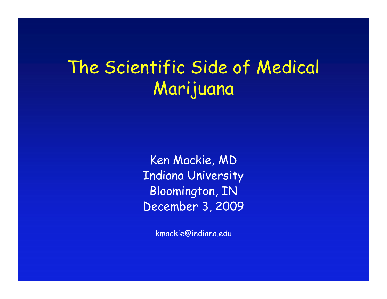# The Scientific Side of Medical Marijuana

Ken Mackie, MD Indiana University Bloomington, IN December 3, 2009

kmackie@indiana.edu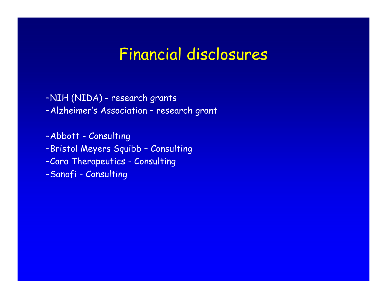### Financial disclosures

–NIH (NIDA) - research grants

–Alzheimer's Association – research grant

–Abbott - Consulting –Bristol Meyers Squibb – Consulting –Cara Therapeutics - Consulting –Sanofi - Consulting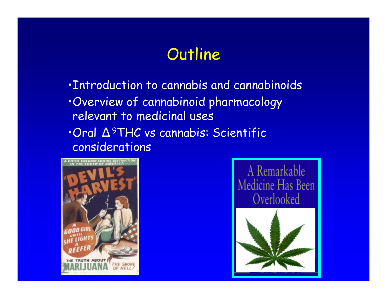## **Outline**

**·Introduction to cannabis and cannabinoids** 

- ïOverview of cannabinoid pharmacology relevant to medicinal uses
- ïOral Δ<sup>9</sup>THC vs cannabis: Scientific considerations



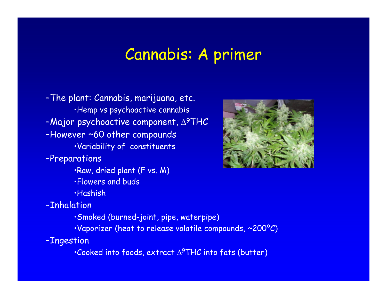#### Cannabis: A primer

–The plant: Cannabis, marijuana, etc. ·Hemp vs psychoactive cannabis -Major psychoactive component,  $\Delta^9THC$ –However ~60 other compounds · Variability of constituents

–Preparations

·Raw, dried plant (F vs. M) **·Flowers and buds** ïHashish

–Inhalation

- ïSmoked (burned-joint, pipe, waterpipe)
- •Vaporizer (heat to release volatile compounds, ~200°C)

–Ingestion

 $\cdot$ Cooked into foods, extract  $\Delta^9\textsf{THC}$  into fats (butter)

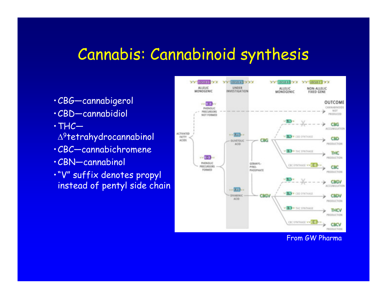#### Cannabis: Cannabinoid synthesis

- ïCBG—cannabigerol
- ïCBD—cannabidiol
- $\cdot$ THC $-$
- <sup>9</sup>tetrahydrocannabinol
- ïCBC—cannabichromene
- · CBN—cannabinol
- ·"V" suffix denotes propyl instead of pentyl side chain



From GW Pharma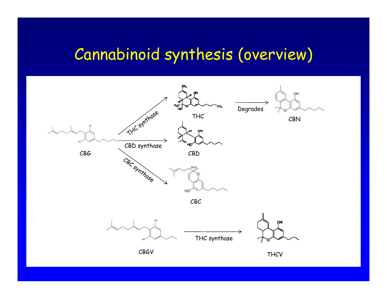# Cannabinoid synthesis (overview)

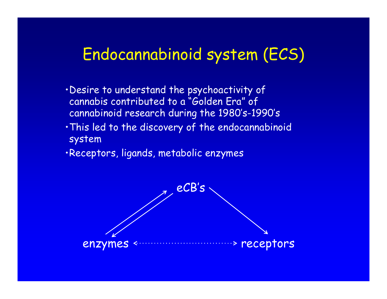## Endocannabinoid system (ECS)

- . Desire to understand the psychoactivity of cannabis contributed to a "Golden Era" of cannabinoid research during the 1980's-1990's
- . This led to the discovery of the endocannabinoid system
- ·Receptors, ligands, metabolic enzymes

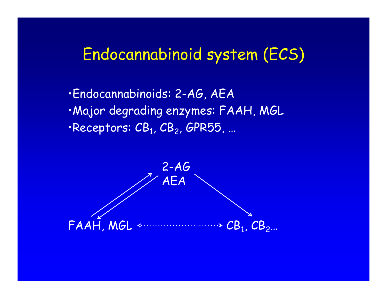## Endocannabinoid system (ECS)

ïEndocannabinoids: 2-AG, AEA ·Major degrading enzymes: FAAH, MGL  $\cdot$ Receptors:  $\texttt{CB}_1$ ,  $\texttt{CB}_2$ , GPR55, ...

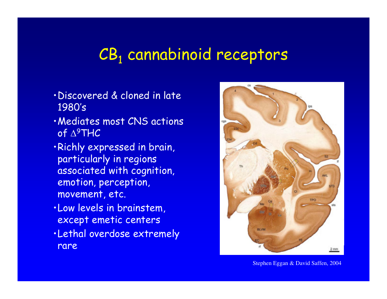#### CB<sub>1</sub> cannabinoid receptors

- · Discovered & cloned in late 1980's
- · Mediates most CNS actions of ∆<sup>9</sup>THC
- ·Richly expressed in brain, particularly in regions associated with cognition, emotion, perception, movement, etc.
- · Low levels in brainstem, except emetic centers
- . Lethal overdose extremely rare



Stephen Eggan & David Saffen, 2004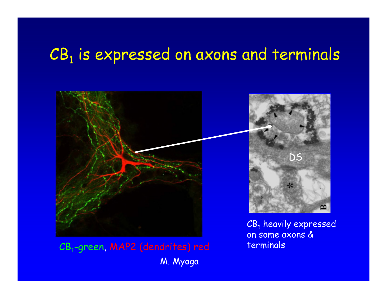# $\textsf{CB}_\textsf{1}$  is expressed on axons and terminals



CB<sub>1</sub>-green, MAP2 (dendrites) red M. Myoga

CB<sub>1</sub> heavily expressed on some axons & terminals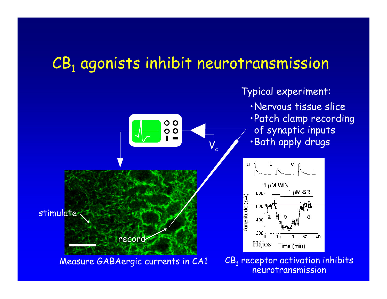## CB<sub>1</sub> agonists inhibit neurotransmission

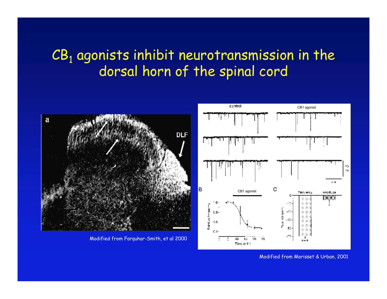#### $CB<sub>1</sub>$  agonists inhibit neurotransmission in the dorsal horn of the spinal cord



Modified from Morisset & Urban, 2001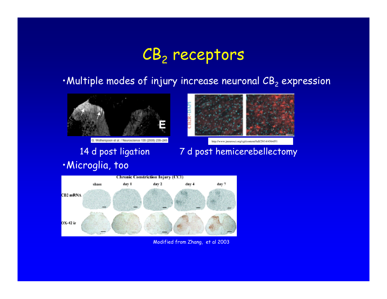# CB<sub>2</sub> receptors

#### $\cdot$ Multiple modes of injury increase neuronal CB<sub>2</sub> expression



Wotherspoon et al. / Neuroscience 135 (2005) 235-245

· Microglia, too



http://www.jneurosci.org/cgi/content/full/29/14/4564/F1

14 d post ligation 7 d post hemicerebellectomy



Modified from Zhang, et al 2003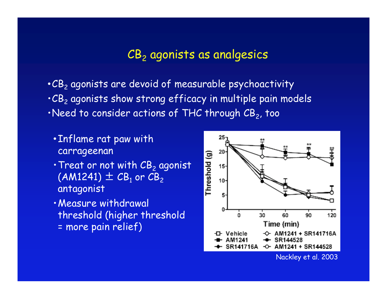#### $CB<sub>2</sub>$  agonists as analgesics

 $\cdot$  CB<sub>2</sub> agonists are devoid of measurable psychoactivity  $\cdot$  CB<sub>2</sub> agonists show strong efficacy in multiple pain models  $\cdot$ Need to consider actions of THC through CB $_2$ , too

- **.** Inflame rat paw with carrageenan
- $\cdot$  Treat or not with  $CB_2$  agonist  $(AM1241) \pm CB_1$  or  $CB_2$ antagonist
- · Measure withdrawal threshold (higher threshold = more pain relief)

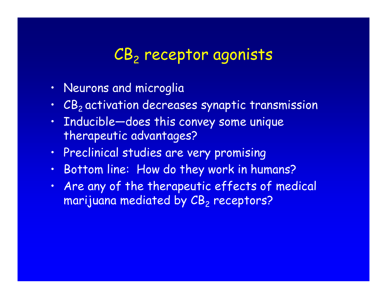## CB<sub>2</sub> receptor agonists

- · Neurons and microglia
- · CB<sub>2</sub> activation decreases synaptic transmission
- Inducible-does this convey some unique therapeutic advantages?
- . Preclinical studies are very promising
- · Bottom line: How do they work in humans?
- . Are any of the therapeutic effects of medical marijuana mediated by  $\textsf{\textit{CB}}_{2}$  receptors?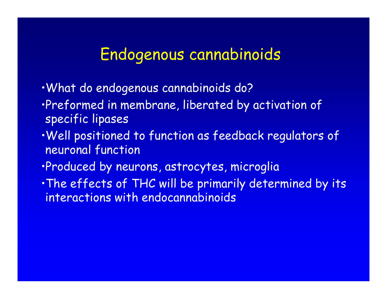#### Endogenous cannabinoids

- ïWhat do endogenous cannabinoids do?
- **Preformed in membrane, liberated by activation of** specific lipases
- . Well positioned to function as feedback regulators of neuronal function
- ·Produced by neurons, astrocytes, microglia
- . The effects of THC will be primarily determined by its interactions with endocannabinoids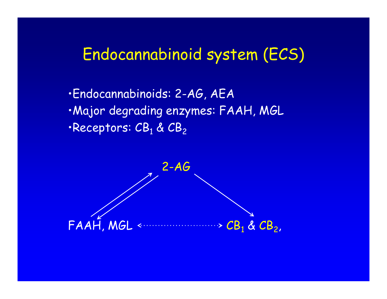## Endocannabinoid system (ECS)

ïEndocannabinoids: 2-AG, AEA ·Major degrading enzymes: FAAH, MGL  $\cdot$ Receptors:  $CB_1$  &  $CB_2$ 

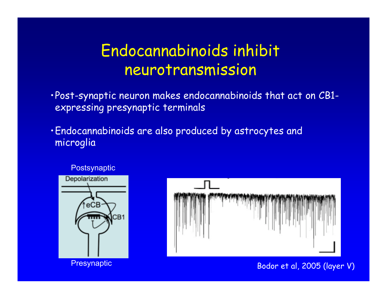## Endocannabinoids inhibit neurotransmission

· Post-synaptic neuron makes endocannabinoids that act on CB1expressing presynaptic terminals

ïEndocannabinoids are also produced by astrocytes and microglia





Bodor et al, 2005 (layer V)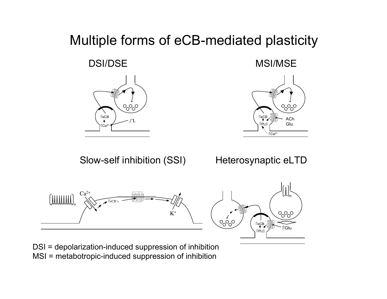#### Multiple forms of eCB-mediated plasticity



DSI/DSE MSI/MSE



Slow-self inhibition (SSI)

Heterosynaptic eLTD



DSI = depolarization-induced suppression of inhibition MSI = metabotropic-induced suppression of inhibition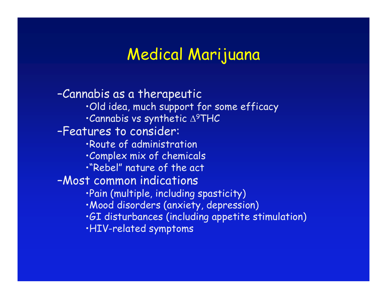#### Medical Marijuana

–Cannabis as a therapeutic ·Old idea, much support for some efficacy  $\cdot$ Cannabis vs synthetic  $\Delta^9$ THC –Features to consider: **·Route of administration Complex mix of chemicals** ï"Rebel" nature of the act –Most common indications · Pain (multiple, including spasticity) · Mood disorders (anxiety, depression) **GI disturbances (including appetite stimulation)** ïHIV-related symptoms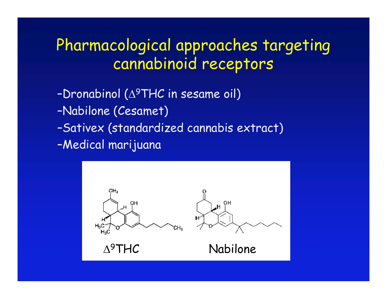## Pharmacological approaches targeting cannabinoid receptors

- -Dronabinol ( $\triangle^9$ THC in sesame oil)
- –Nabilone (Cesamet)
- –Sativex (standardized cannabis extract)
- –Medical marijuana

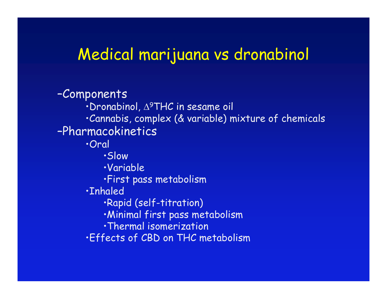#### Medical marijuana vs dronabinol

–Components  $\cdot$ Dronabinol,  $\Delta^9$ THC in sesame oil ïCannabis, complex (& variable) mixture of chemicals –Pharmacokinetics ïOral ïSlow ïVariable **·First pass metabolism ·Inhaled** ·Rapid (self-titration) · Minimal first pass metabolism · Thermal isomerization **Effects of CBD on THC metabolism**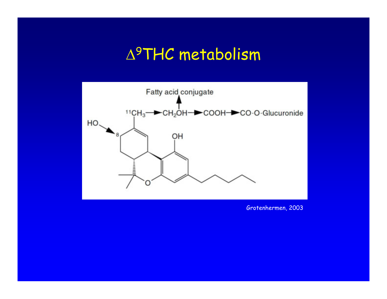### $\Delta^9$ THC metabolism



Grotenhermen, 2003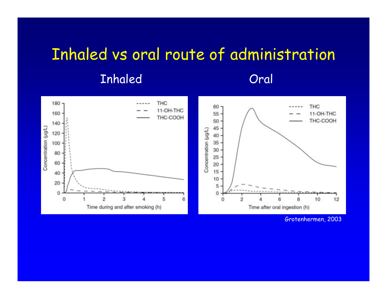# Inhaled vs oral route of administration Inhaled Oral



Grotenhermen, 2003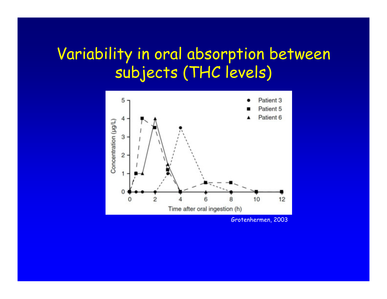## Variability in oral absorption between subjects (THC levels)



Grotenhermen, 2003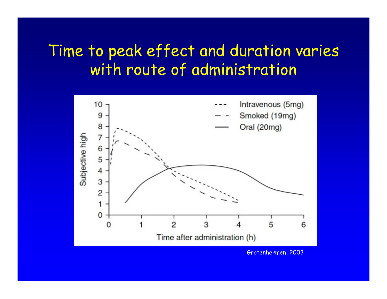## Time to peak effect and duration varies with route of administration



Grotenhermen, 2003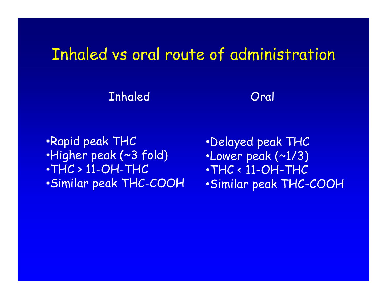### Inhaled vs oral route of administration

Inhaled Oral

**•Rapid peak THC** •Higher peak (~3 fold)  $\cdot$ THC  $>$  11-OH-THC • Similar peak THC-COOH

ïDelayed peak THC  $\cdot$ Lower peak  $(\sim 1/3)$  $\cdot$ THC  $\cdot$  11-OH-THC • Similar peak THC-COOH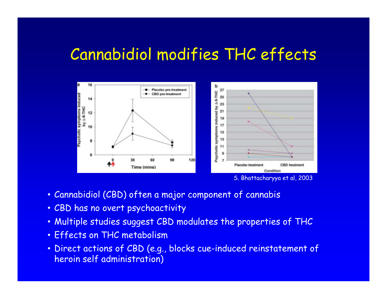### Cannabidiol modifies THC effects



- Cannabidiol (CBD) often a major component of cannabis
- CBD has no overt psychoactivity
- . Multiple studies suggest CBD modulates the properties of THC
- **· Effects on THC metabolism**
- . Direct actions of CBD (e.g., blocks cue-induced reinstatement of heroin self administration)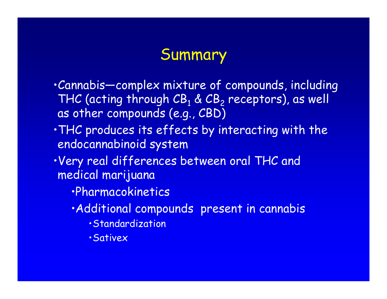## Summary

- ïCannabis—complex mixture of compounds, including THC (acting through  $\texttt{CB}_1 \& \texttt{CB}_2$  receptors), as well as other compounds (e.g., CBD)
- . THC produces its effects by interacting with the endocannabinoid system
- ïVery real differences between oral THC and medical marijuana
	- · Pharmacokinetics
	- · Additional compounds present in cannabis
		- **· Standardization**
		- **·Sativex**